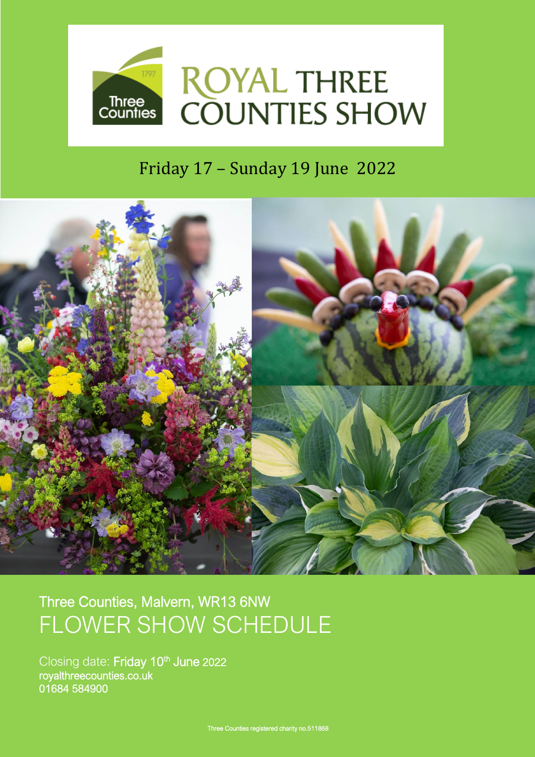

# Friday 17 – Sunday 19 June 2022



# Three Counties, Malvern, WR13 6NW FLOWER SHOW SCHEDULE

Closing date: Friday 10<sup>th</sup> June 2022 royalthreecounties.co.uk 01684 584900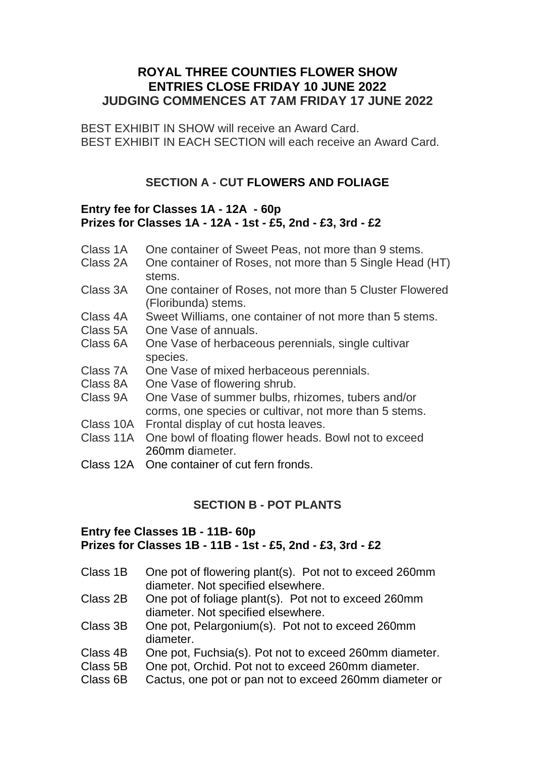# **ROYAL THREE COUNTIES FLOWER SHOW ENTRIES CLOSE FRIDAY 10 JUNE 2022 JUDGING COMMENCES AT 7AM FRIDAY 17 JUNE 2022**

BEST EXHIBIT IN SHOW will receive an Award Card. BEST EXHIBIT IN EACH SECTION will each receive an Award Card.

# **SECTION A - CUT FLOWERS AND FOLIAGE**

#### **Entry fee for Classes 1A - 12A - 60p Prizes for Classes 1A - 12A - 1st - £5, 2nd - £3, 3rd - £2**

- Class 1A One container of Sweet Peas, not more than 9 stems.<br>Class 2A One container of Roses, not more than 5 Single Head
- One container of Roses, not more than 5 Single Head (HT) stems.
- Class 3A One container of Roses, not more than 5 Cluster Flowered (Floribunda) stems.
- Class 4A Sweet Williams, one container of not more than 5 stems.
- Class 5A One Vase of annuals.
- Class 6A One Vase of herbaceous perennials, single cultivar species.
- Class 7A One Vase of mixed herbaceous perennials.<br>Class 8A One Vase of flowering shrub.
- One Vase of flowering shrub.
- Class 9A One Vase of summer bulbs, rhizomes, tubers and/or corms, one species or cultivar, not more than 5 stems.
- Class 10A Frontal display of cut hosta leaves.
- Class 11A One bowl of floating flower heads. Bowl not to exceed 260mm diameter.
- Class 12A One container of cut fern fronds.

# **SECTION B - POT PLANTS**

## **Entry fee Classes 1B - 11B- 60p Prizes for Classes 1B - 11B - 1st - £5, 2nd - £3, 3rd - £2**

- Class 1B One pot of flowering plant(s). Pot not to exceed 260mm diameter. Not specified elsewhere.
- Class 2B One pot of foliage plant(s). Pot not to exceed 260mm diameter. Not specified elsewhere.
- Class 3B One pot, Pelargonium(s). Pot not to exceed 260mm diameter.
- Class 4B One pot, Fuchsia(s). Pot not to exceed 260mm diameter.
- Class 5B One pot, Orchid. Pot not to exceed 260mm diameter.
- Class 6B Cactus, one pot or pan not to exceed 260mm diameter or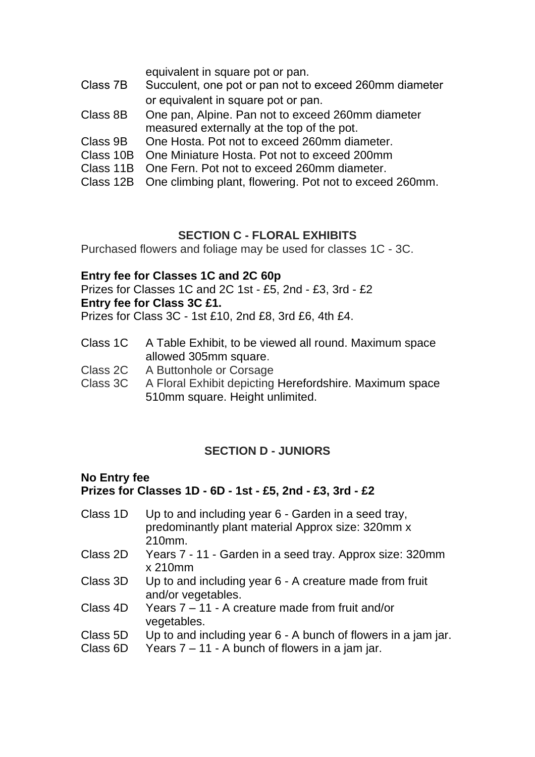equivalent in square pot or pan.

- Class 7B Succulent, one pot or pan not to exceed 260mm diameter or equivalent in square pot or pan.
- Class 8B One pan, Alpine. Pan not to exceed 260mm diameter measured externally at the top of the pot.
- Class 9B One Hosta. Pot not to exceed 260mm diameter.
- Class 10B One Miniature Hosta. Pot not to exceed 200mm
- Class 11B One Fern. Pot not to exceed 260mm diameter.
- Class 12B One climbing plant, flowering. Pot not to exceed 260mm.

## **SECTION C - FLORAL EXHIBITS**

Purchased flowers and foliage may be used for classes 1C - 3C.

#### **Entry fee for Classes 1C and 2C 60p**

Prizes for Classes 1C and 2C 1st - £5, 2nd - £3, 3rd - £2 **Entry fee for Class 3C £1.**

Prizes for Class 3C - 1st £10, 2nd £8, 3rd £6, 4th £4.

- Class 1C A Table Exhibit, to be viewed all round. Maximum space allowed 305mm square.
- Class 2C A Buttonhole or Corsage
- Class 3C A Floral Exhibit depicting Herefordshire. Maximum space 510mm square. Height unlimited.

# **SECTION D - JUNIORS**

#### **No Entry fee Prizes for Classes 1D - 6D - 1st - £5, 2nd - £3, 3rd - £2**

- Class 1D Up to and including year 6 Garden in a seed tray, predominantly plant material Approx size: 320mm x 210mm.
- Class 2D Years 7 11 Garden in a seed tray. Approx size: 320mm x 210mm
- Class 3D Up to and including year 6 A creature made from fruit and/or vegetables.
- Class 4D Years 7 11 A creature made from fruit and/or vegetables.
- Class 5D Up to and including year 6 A bunch of flowers in a jam jar.
- Class  $6D$  Years  $7 11$  A bunch of flowers in a jam jar.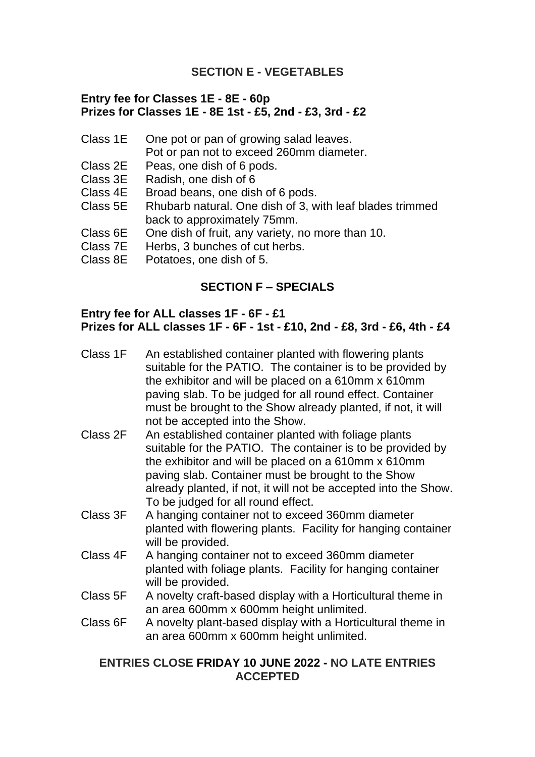# **SECTION E - VEGETABLES**

#### **Entry fee for Classes 1E - 8E - 60p Prizes for Classes 1E - 8E 1st - £5, 2nd - £3, 3rd - £2**

- Class 1E One pot or pan of growing salad leaves.
	- Pot or pan not to exceed 260mm diameter.
- Class 2E Peas, one dish of 6 pods.
- Class 3E Radish, one dish of 6
- Class 4E Broad beans, one dish of 6 pods.
- Class 5E Rhubarb natural. One dish of 3, with leaf blades trimmed back to approximately 75mm.
- Class 6E One dish of fruit, any variety, no more than 10.
- Class 7E Herbs, 3 bunches of cut herbs.
- Class 8E Potatoes, one dish of 5.

# **SECTION F – SPECIALS**

#### **Entry fee for ALL classes 1F - 6F - £1 Prizes for ALL classes 1F - 6F - 1st - £10, 2nd - £8, 3rd - £6, 4th - £4**

| Class 1F | An established container planted with flowering plants<br>suitable for the PATIO. The container is to be provided by<br>the exhibitor and will be placed on a 610mm x 610mm<br>paving slab. To be judged for all round effect. Container<br>must be brought to the Show already planted, if not, it will<br>not be accepted into the Show. |
|----------|--------------------------------------------------------------------------------------------------------------------------------------------------------------------------------------------------------------------------------------------------------------------------------------------------------------------------------------------|
| Class 2F | An established container planted with foliage plants<br>suitable for the PATIO. The container is to be provided by<br>the exhibitor and will be placed on a 610mm x 610mm<br>paving slab. Container must be brought to the Show<br>already planted, if not, it will not be accepted into the Show.<br>To be judged for all round effect.   |
| Class 3F | A hanging container not to exceed 360mm diameter<br>planted with flowering plants. Facility for hanging container<br>will be provided.                                                                                                                                                                                                     |
| Class 4F | A hanging container not to exceed 360mm diameter<br>planted with foliage plants. Facility for hanging container<br>will be provided.                                                                                                                                                                                                       |
| Class 5F | A novelty craft-based display with a Horticultural theme in<br>an area 600mm x 600mm height unlimited.                                                                                                                                                                                                                                     |
| Class 6F | A novelty plant-based display with a Horticultural theme in<br>an area 600mm x 600mm height unlimited.                                                                                                                                                                                                                                     |

## **ENTRIES CLOSE FRIDAY 10 JUNE 2022 - NO LATE ENTRIES ACCEPTED**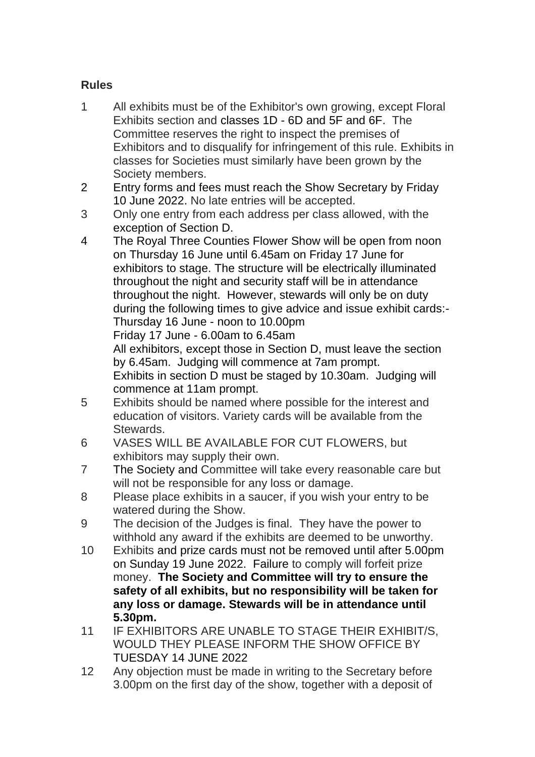# **Rules**

- 1 All exhibits must be of the Exhibitor's own growing, except Floral Exhibits section and classes 1D - 6D and 5F and 6F. The Committee reserves the right to inspect the premises of Exhibitors and to disqualify for infringement of this rule. Exhibits in classes for Societies must similarly have been grown by the Society members.
- 2 Entry forms and fees must reach the Show Secretary by Friday 10 June 2022. No late entries will be accepted.
- 3 Only one entry from each address per class allowed, with the exception of Section D.
- 4 The Royal Three Counties Flower Show will be open from noon on Thursday 16 June until 6.45am on Friday 17 June for exhibitors to stage. The structure will be electrically illuminated throughout the night and security staff will be in attendance throughout the night. However, stewards will only be on duty during the following times to give advice and issue exhibit cards:- Thursday 16 June - noon to 10.00pm Friday 17 June - 6.00am to 6.45am All exhibitors, except those in Section D, must leave the section by 6.45am. Judging will commence at 7am prompt. Exhibits in section D must be staged by 10.30am. Judging will

commence at 11am prompt.

- 5 Exhibits should be named where possible for the interest and education of visitors. Variety cards will be available from the Stewards.
- 6 VASES WILL BE AVAILABLE FOR CUT FLOWERS, but exhibitors may supply their own.
- 7 The Society and Committee will take every reasonable care but will not be responsible for any loss or damage.
- 8 Please place exhibits in a saucer, if you wish your entry to be watered during the Show.
- 9 The decision of the Judges is final. They have the power to withhold any award if the exhibits are deemed to be unworthy.
- 10 Exhibits and prize cards must not be removed until after 5.00pm on Sunday 19 June 2022. Failure to comply will forfeit prize money. **The Society and Committee will try to ensure the safety of all exhibits, but no responsibility will be taken for any loss or damage. Stewards will be in attendance until 5.30pm.**
- 11 IF EXHIBITORS ARE UNABLE TO STAGE THEIR EXHIBIT/S, WOULD THEY PLEASE INFORM THE SHOW OFFICE BY TUESDAY 14 JUNE 2022
- 12 Any objection must be made in writing to the Secretary before 3.00pm on the first day of the show, together with a deposit of